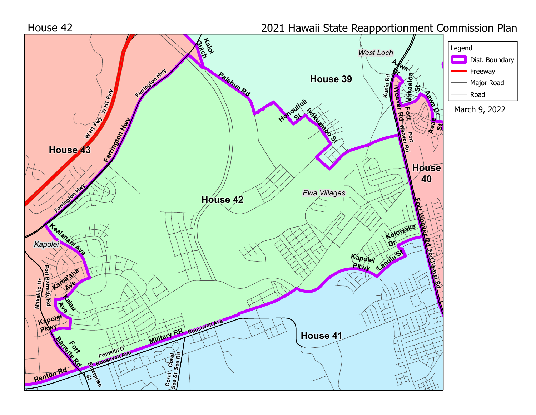